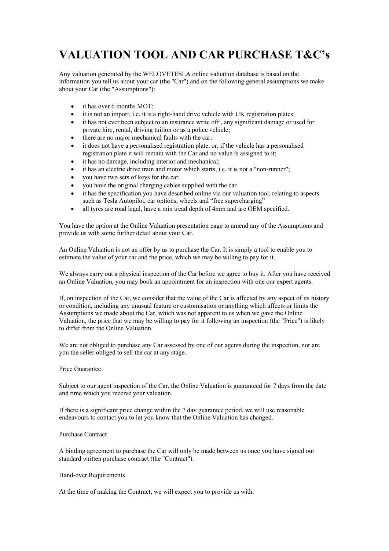# **VALUATION TOOL AND CAR PURCHASE T&C's**

Any valuation generated by the WELOVETESLA online valuation database is based on the information you tell us about your car (the "Car") and on the following general assumptions we make about your Car (the "Assumptions"):

- it has over 6 months MOT:
- it is not an import, i.e. it is a right-hand drive vehicle with UK registration plates;
- it has not ever been subject to an insurance write off, any significant damage or used for private hire, rental, driving tuition or as a police vehicle;
- there are no major mechanical faults with the car;
- it does not have a personalised registration plate, or, if the vehicle has a personalised registration plate it will remain with the Car and no value is assigned to it;
- it has no damage, including interior and mechanical;
- it has an electric drive train and motor which starts, i.e. it is not a "non-runner";
- you have two sets of keys for the car.
- you have the original charging cables supplied with the car
- it has the specification you have described online via our valuation tool, relating to aspects such as Tesla Autopilot, car options, wheels and "free supercharging"
- all tyres are road legal, have a min tread depth of 4mm and are OEM specified.

You have the option at the Online Valuation presentation page to amend any of the Assumptions and provide us with some further detail about your Car.

An Online Valuation is not an offer by us to purchase the Car. It is simply a tool to enable you to estimate the value of your car and the price, which we may be willing to pay for it.

We always carry out a physical inspection of the Car before we agree to buy it. After you have received an Online Valuation, you may book an appointment for an inspection with one our expert agents.

If, on inspection of the Car, we consider that the value of the Car is affected by any aspect of its history or condition, including any unusual feature or customisation or anything which affects or limits the Assumptions we made about the Car, which was not apparent to us when we gave the Online Valuation, the price that we may be willing to pay for it following an inspection (the "Price") is likely to differ from the Online Valuation.

We are not obliged to purchase any Car assessed by one of our agents during the inspection, nor are you the seller obliged to sell the car at any stage.

### Price Guarantee

Subject to our agent inspection of the Car, the Online Valuation is guaranteed for 7 days from the date and time which you receive your valuation.

If there is a significant price change within the 7 day guarantee period, we will use reasonable endeavours to contact you to let you know that the Online Valuation has changed.

## Purchase Contract

A binding agreement to purchase the Car will only be made between us once you have signed our standard written purchase contract (the "Contract").

### Hand-over Requirements

At the time of making the Contract, we will expect you to provide us with: